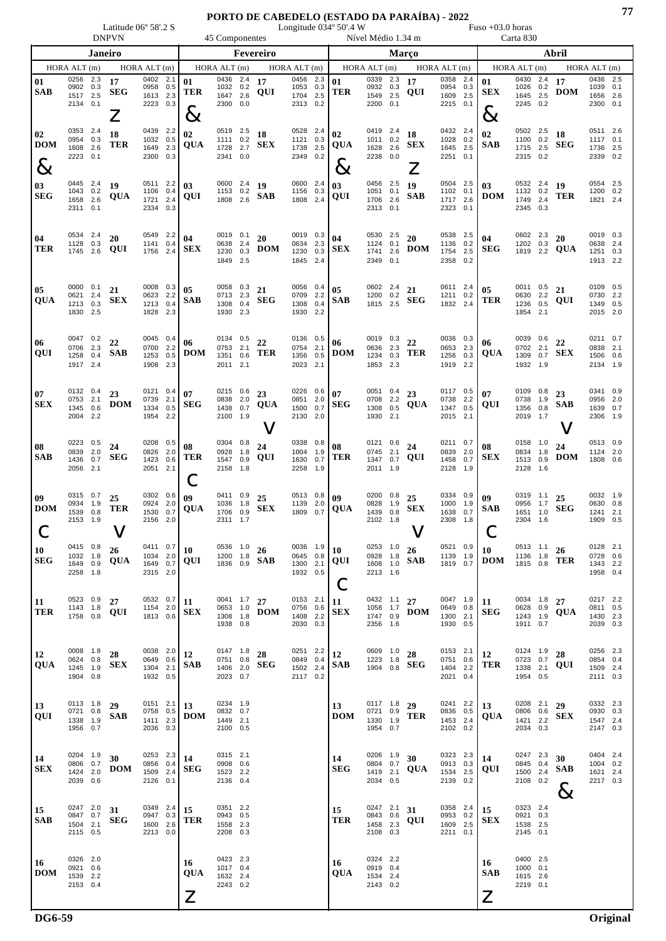Latitude 06º 58'.2 S Longitude 034º 50'.4 W Fuso +03.0 horas DNPVN 45 Componentes Nível Médio 1.34 m Carta 830

|                           | Janeiro                                      |                          |                              |                                                 | Fevereiro         |                             |                                                   |                   |                                          |                                              | Março             |                                                               |                                                 |                   |                                    |                                              | Abril      |                          | HORA ALT (m)<br>2.5<br>0.1<br>1656 2.6<br>2300 0.1<br>0511 2.6<br>1117 0.1<br>2.5<br>0.2<br>0554 2.5 |            |                             |                                              |                   |  |  |  |
|---------------------------|----------------------------------------------|--------------------------|------------------------------|-------------------------------------------------|-------------------|-----------------------------|---------------------------------------------------|-------------------|------------------------------------------|----------------------------------------------|-------------------|---------------------------------------------------------------|-------------------------------------------------|-------------------|------------------------------------|----------------------------------------------|------------|--------------------------|------------------------------------------------------------------------------------------------------|------------|-----------------------------|----------------------------------------------|-------------------|--|--|--|
|                           | HORA ALT (m)                                 |                          |                              | HORA ALT (m)                                    |                   |                             | HORAALT(m)                                        |                   |                                          | HORAALT(m)                                   |                   |                                                               | HORA ALT (m)                                    |                   |                                    | HORA ALT (m)                                 |            |                          | HORA $ALT(m)$                                                                                        |            |                             |                                              |                   |  |  |  |
| 01<br><b>SAB</b>          | 0256<br>0902<br>1517 2.5<br>2134 0.1         | 2.3<br>0.3               | 17<br><b>SEG</b><br>$\angle$ | 0402<br>0958<br>1613<br>2223 0.3                | 2.1<br>0.5<br>2.3 | 01<br><b>TER</b><br>$\&$    | 0436 2.4<br>1032 0.2<br>1647 2.6<br>2300 0.0      |                   | 17<br>QUI                                | 0456 2.3<br>1053<br>1704<br>2313 0.2         | 0.3<br>2.5        | 01<br><b>TER</b>                                              | 0339<br>0932 0.3<br>1549<br>2200                | 2.3<br>2.5<br>0.1 | 17<br>QUI                          | 0358 2.4<br>0954<br>1609 2.5<br>2215 0.1     | 0.3        | 01<br><b>SEX</b><br>$\&$ | 0430 2.4<br>1026<br>1645 2.5<br>2245 0.2                                                             | 0.2        | 17<br><b>DOM</b>            | 0436<br>1039                                 |                   |  |  |  |
| 02<br><b>DOM</b><br>$8\,$ | 0353<br>0954<br>1608<br>2223                 | 2.4<br>0.3<br>2.6<br>0.1 | 18<br>TER                    | 0439<br>1032<br>1649<br>2300 0.3                | 2.2<br>0.5<br>2.3 | 02<br><b>QUA</b>            | 0519 2.5<br>1111<br>1728<br>2341 0.0              | 0.2<br>2.7        | 18<br><b>SEX</b>                         | 0528 2.4<br>1121<br>1738<br>2349             | 0.3<br>2.5<br>0.2 | 02<br>$\mathbf{Q}\mathbf{U}\mathbf{A}$<br>$8\!\!\!\!\!\times$ | 0419 2.4<br>1011 0.2<br>1628 2.6<br>2238 0.0    |                   | 18<br><b>SEX</b><br>$\overline{Z}$ | 0432 2.4<br>1028 0.2<br>1645 2.5<br>2251 0.1 |            | 02<br><b>SAB</b>         | 0502 2.5<br>1100 0.2<br>1715 2.5<br>2315 0.2                                                         |            | 18<br><b>SEG</b>            | 1736<br>2339                                 |                   |  |  |  |
| 03<br><b>SEG</b>          | 0445 2.4<br>1043 0.2<br>1658<br>2311 0.1     | 2.6                      | 19<br>QUA                    | 0511 2.2<br>1106<br>1721<br>2334 0.3            | 0.4<br>2.4        | 03<br>QUI                   | 0600 2.4<br>1153 0.2<br>1808 2.6                  |                   | 19<br><b>SAB</b>                         | 0600 2.4<br>1156 0.3<br>1808 2.4             |                   | 03<br>QUI                                                     | 0456 2.5<br>1051 0.1<br>1706<br>2313 0.1        | 2.6               | 19<br><b>SAB</b>                   | 0504 2.5<br>1102 0.1<br>1717 2.6<br>2323 0.1 |            | 03<br><b>DOM</b>         | 0532 2.4<br>1132 0.2<br>1749 2.4<br>2345 0.3                                                         |            | 19<br><b>TER</b>            | 1200 0.2<br>1821 2.4                         |                   |  |  |  |
| 04<br>TER                 | 0534<br>1128<br>1745                         | 2.4<br>0.3<br>2.6        | 20<br>QUI                    | 0549<br>1141<br>1756                            | 2.2<br>0.4<br>2.4 | 04<br><b>SEX</b>            | 0019 0.1<br>0638<br>1230<br>1849 2.5              | 2.4<br>0.3        | 20<br><b>DOM</b>                         | 0019 0.3<br>0634<br>1230<br>1845 2.4         | 2.3<br>0.3        | 04<br><b>SEX</b>                                              | 0530 2.5<br>1124<br>1741<br>2349 0.1            | 0.1<br>2.6        | 20<br><b>DOM</b>                   | 0538 2.5<br>1136<br>1754 2.5<br>2358         | 0.2<br>0.2 | 04<br>${\bf SEG}$        | 0602 2.3<br>1202 0.3<br>1819 2.2                                                                     |            | 20<br>QUA                   | 0019<br>0638<br>1251 0.3<br>1913 2.2         | 0.3<br>2.4        |  |  |  |
| 05<br>QUA                 | 0000<br>0621<br>1213<br>1830 2.5             | 0.1<br>2.4<br>0.3        | 21<br><b>SEX</b>             | 0008 0.3<br>0623<br>1213<br>1828 2.3            | 2.2<br>0.4        | 05<br><b>SAB</b>            | 0058 0.3<br>0713 2.3<br>1308<br>1930 2.3          | 0.4               | 21<br><b>SEG</b>                         | 0056 0.4<br>0709 2.2<br>1308<br>1930 2.2     | 0.4               | 05<br><b>SAB</b>                                              | 0602 2.4<br>1200 0.2<br>1815 2.5                |                   | 21<br><b>SEG</b>                   | 0611 2.4<br>1211 0.2<br>1832 2.4             |            | 05<br><b>TER</b>         | 0011 0.5<br>0630<br>1236<br>1854 2.1                                                                 | 2.2<br>0.5 | 21<br>QUI                   | 0109 0.5<br>0730<br>1349 0.5<br>2015 2.0     | 2.2               |  |  |  |
| 06<br>QUI                 | 0047 0.2<br>0706<br>1258<br>1917 2.4         | 2.3<br>0.4               | 22<br><b>SAB</b>             | 0045 0.4<br>0700<br>1253<br>1908 2.3            | 2.2<br>0.5        | 06<br><b>DOM</b>            | 0134 0.5<br>0753<br>1351<br>2011 2.1              | 2.1<br>0.6        | 22<br>TER                                | 0136 0.5<br>0754<br>1356<br>2023 2.1         | 2.1<br>0.5        | 06<br><b>DOM</b>                                              | 0019 0.3<br>0636<br>1234<br>1853 2.3            | 2.3<br>0.3        | 22<br>TER                          | 0036 0.3<br>0653<br>1256<br>1919 2.2         | 2.3<br>0.3 | 06<br>QUA                | 0039 0.6<br>0702 2.1<br>1309<br>1932 1.9                                                             | 0.7        | 22<br><b>SEX</b>            | 0211 0.7<br>0838<br>1506<br>2134 1.9         | 2.1<br>0.6        |  |  |  |
| 07<br>SEX                 | 0132 0.4<br>0753<br>1345<br>2004 2.2         | 2.1<br>0.6               | 23<br>$\mathbf{DOM}$         | 0121 0.4<br>0739<br>1334 0.5<br>1954 2.2        | 2.1               | 07<br><b>SEG</b>            | 0215 0.6<br>0838 2.0<br>1438<br>2100 1.9          | 0.7               | 23<br>QUA<br>V                           | 0226 0.6<br>0851<br>1500<br>2130 2.0         | 2.0<br>0.7        | 07<br><b>SEG</b>                                              | 0051 0.4<br>0708 2.2<br>1308<br>1930 2.1        | 0.5               | 23<br><b>QUA</b>                   | 0117 0.5<br>0738 2.2<br>1347 0.5<br>2015 2.1 |            | 07<br><b>QUI</b>         | 0109 0.8<br>0738 1.9<br>1356<br>2019 1.7                                                             | 0.8        | 23<br><b>SAB</b><br>V       | 0341 0.9<br>0956<br>1639<br>2306 1.9         | 2.0<br>0.7        |  |  |  |
| 08<br>SAB                 | 0223<br>0839<br>1436<br>2056                 | 0.5<br>2.0<br>0.7<br>2.1 | 24<br><b>SEG</b>             | 0208<br>0826<br>1423<br>2051 2.1                | 0.5<br>2.0<br>0.6 | 08<br>TER<br>Ċ              | 0304 0.8<br>0928<br>1547<br>2158                  | 1.8<br>0.9<br>1.8 | 24<br>QUI                                | 0338 0.8<br>1004<br>1630<br>2258             | 1.9<br>0.7<br>1.9 | 08<br>TER                                                     | 0121<br>0745<br>1347<br>2011 1.9                | 0.6<br>2.1<br>0.7 | 24<br>QUI                          | 0211 0.7<br>0839 2.0<br>1458<br>2128         | 0.7<br>1.9 | 08<br><b>SEX</b>         | 0158<br>0834 1.8<br>1513<br>2128 1.6                                                                 | 1.0<br>0.9 | 24<br><b>DOM</b>            | 0513 0.9<br>1124 2.0<br>1808 0.6             |                   |  |  |  |
| 09<br><b>DOM</b>          | 0315<br>0934<br>1539<br>2153 1.9             | 0.7<br>1.9<br>0.8        | 25<br><b>TER</b>             | 0302 0.6<br>0924<br>1530<br>2156 2.0            | 2.0<br>0.7        | 09<br>QUA                   | 0411 0.9<br>1036<br>1706<br>2311 1.7              | 1.8<br>0.9        | 25<br><b>SEX</b>                         | 0513 0.8<br>1139<br>1809 0.7                 | 2.0               | 09<br><b>QUA</b>                                              | 0200 0.8<br>0828<br>1439<br>2102 1.8            | 1.9<br>0.8        | 25<br><b>SEX</b><br>$\bm{\nabla}$  | 0334 0.9<br>1000 1.9<br>1638<br>2308 1.8     | 0.7        | 09<br><b>SAB</b><br>Ĉ    | 0319 1.1<br>0956 1.7<br>1651<br>2304 1.6                                                             | 1.0        | 25<br><b>SEG</b>            | 0032 1.9<br>0630<br>1241<br>1909             | 0.8<br>2.1<br>0.5 |  |  |  |
| $\vert$ 10<br><b>SEG</b>  | 0415 0.8<br>1032 1.8<br>1649 0.9<br>2258 1.8 |                          | 26<br><b>QUA</b>             | 1034 2.0<br>1649 0.7<br>2315 2.0                |                   | 0411 0.7 10<br>QUI          | 1200 1.8                                          |                   | 0536 $1.0$ 26<br>1836 $_{0.9}^{1.0}$ SAB | 0645 0.8<br>1300 2.1<br>1932 0.5             |                   | 0036 $1.9$ 10<br>QUI                                          | 0928 1.8<br>2213 1.6                            |                   | 0253 1.0 26<br>1608 1.0 <b>SAB</b> | 0521 0.9<br>1139 1.9<br>1819 0.7             |            | 10<br>DOM                | 1136 1.8<br>1815 0.8                                                                                 |            | $0513$ 1.1 26<br><b>TER</b> | 0128 2.1<br>0728 0.6<br>1343 2.2<br>1958 0.4 |                   |  |  |  |
| 11<br>TER                 | 0523 0.9<br>1143 1.8<br>1758 0.8             |                          | 27<br>QUI                    | 0532 0.7<br>1154 2.0<br>1813 0.6                |                   | 11<br><b>SEX</b>            | 0041 $1.7$ 27<br>0653 1.0<br>1308 1.8<br>1938 0.8 |                   | <b>DOM</b>                               | 0153 2.1<br>0756 0.6<br>1408 2.2<br>2030 0.3 |                   | 11<br><b>SEX</b>                                              | 0432 1.1 27<br>1058 1.7<br>1747 0.9<br>2356 1.6 |                   | <b>DOM</b>                         | 0047 1.9<br>0649 0.8<br>1300 2.1<br>1930 0.5 |            | 11<br><b>SEG</b>         | 0034 1.8 27<br>0628 0.9<br>1243 1.9<br>1911 0.7                                                      |            | QUA                         | 0217 2.2<br>0811 0.5<br>1430 2.3<br>2039 0.3 |                   |  |  |  |
| 12<br>QUA                 | 0008 1.8<br>0624 0.8<br>1245 1.9<br>1904 0.8 |                          | 28<br><b>SEX</b>             | 0038 2.0<br>0649 0.6<br>1304 2.1<br>1932 0.5    |                   | 12<br><b>SAB</b>            | 0147 1.8<br>0751 0.8<br>1406 2.0<br>2023 0.7      |                   | 28<br><b>SEG</b>                         | 0251 2.2<br>0849 0.4<br>1502 2.4<br>2117 0.2 |                   | 12<br><b>SAB</b>                                              | 0609 1.0<br>1223 1.8                            |                   | 28<br>1904 $0.8$ SEG               | 0153 2.1<br>0751 0.6<br>1404 2.2<br>2021 0.4 |            | 12<br>TER                | 0124 1.9<br>0723 0.7<br>1338 2.1<br>1954 0.5                                                         |            | 28<br>QUI                   | 0256 2.3<br>0854 0.4<br>1509 2.4<br>2111 0.3 |                   |  |  |  |
| 13<br>QUI                 | 0113 1.8<br>0721 0.8<br>1338 1.9<br>1956 0.7 |                          | 29<br><b>SAB</b>             | 0151 2.1<br>0758 0.5<br>1411 2.3<br>2036 0.3    |                   | 13<br><b>DOM</b>            | 0234 1.9<br>0832 0.7<br>1449 2.1<br>2100 0.5      |                   |                                          |                                              |                   | 13<br><b>DOM</b>                                              | 0117 1.8 29<br>0721 0.9<br>1330 1.9<br>1954 0.7 |                   | <b>TER</b>                         | 0241 2.2<br>0836 0.5<br>1453 2.4<br>2102 0.2 |            | 13<br>QUA                | 0208 2.1<br>0806 0.6<br>1421 2.2<br>2034 0.3                                                         |            | 29<br><b>SEX</b>            | 0332 2.3<br>0930 0.3<br>1547 2.4<br>2147 0.3 |                   |  |  |  |
| 14<br><b>SEX</b>          | 0204 1.9<br>0806 0.7<br>1424 2.0<br>2039 0.6 |                          | 30<br><b>DOM</b>             | 0253 2.3<br>0856 0.4<br>1509 2.4<br>2126 0.1    |                   | 14<br><b>SEG</b>            | 0315 2.1<br>0908 0.6<br>1523 2.2<br>2136 0.4      |                   |                                          |                                              |                   | 14<br><b>SEG</b>                                              | 0206 1.9<br>0804 0.7<br>1419 2.1<br>2034 0.5    |                   | 30<br>QUA                          | 0323 2.3<br>0913 0.3<br>1534 2.5<br>2139 0.2 |            | 14<br>QUI                | 0247 2.3<br>0845 0.4<br>1500 2.4<br>2108 0.2                                                         |            | 30<br><b>SAB</b><br>$8\,$   | 0404 2.4<br>1004 0.2<br>1621 2.4<br>2217 0.3 |                   |  |  |  |
| 15<br><b>SAB</b>          | 0247 2.0<br>0847 0.7<br>1504 2.1<br>2115 0.5 |                          | 31<br><b>SEG</b>             | 0349 2.4 15<br>0947 0.3<br>1600 2.6<br>2213 0.0 |                   | TER                         | 0351 2.2<br>0943 0.5<br>1558 2.3<br>2208 0.3      |                   |                                          |                                              |                   | 15<br>TER                                                     | 0247 2.1 31<br>0843 0.6<br>1458 2.3<br>2108 0.3 |                   | QUI                                | 0358 2.4<br>0953 0.2<br>1609 2.5<br>2211 0.1 |            | 15<br><b>SEX</b>         | 0323 2.4<br>0921 0.3<br>1538 2.5<br>2145 0.1                                                         |            |                             |                                              |                   |  |  |  |
| 16<br><b>DOM</b>          | 0326 2.0<br>0921 0.6<br>1539 2.2<br>2153 0.4 |                          |                              |                                                 |                   | 16<br>QUA<br>$\overline{Z}$ | 0423 2.3<br>1017 0.4<br>1632 2.4<br>2243 0.2      |                   |                                          |                                              |                   | 16<br>QUA                                                     | 0324 2.2<br>0919 0.4<br>1534 2.4<br>2143 0.2    |                   |                                    |                                              |            | 16<br><b>SAB</b><br>Z    | 0400 2.5<br>1000 0.1<br>1615 2.6<br>2219 0.1                                                         |            |                             |                                              |                   |  |  |  |

**DG6-59 Original**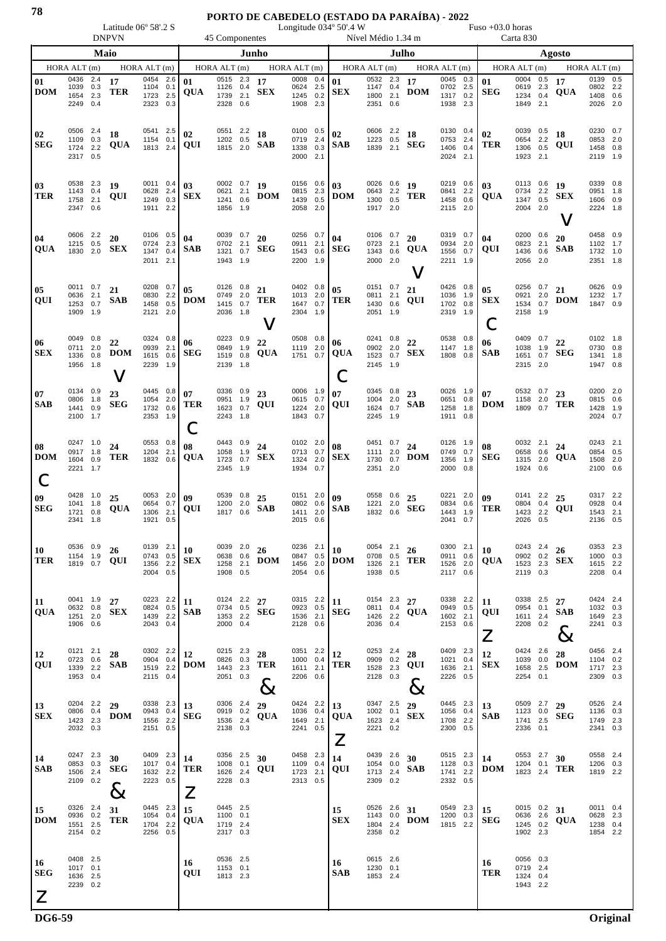## **PORTO DE CABEDELO (ESTADO DA PARAÍBA) - 2022**

Latitude 06º 58'.2 S Longitude 034º 50'.4 W Fuso +03.0 horas

|                                         |                                              |                                    | <b>DNPVN</b>              |                                              |                          |                                                                                                                    | 45 Componentes                                    |                          |                       |                                              |                            |                               | Nível Médio 1.34 m                           |                          |                       |                                              |                          |                               | Carta 830                                       |                          |                                         |                                              |                   |  |  |
|-----------------------------------------|----------------------------------------------|------------------------------------|---------------------------|----------------------------------------------|--------------------------|--------------------------------------------------------------------------------------------------------------------|---------------------------------------------------|--------------------------|-----------------------|----------------------------------------------|----------------------------|-------------------------------|----------------------------------------------|--------------------------|-----------------------|----------------------------------------------|--------------------------|-------------------------------|-------------------------------------------------|--------------------------|-----------------------------------------|----------------------------------------------|-------------------|--|--|
|                                         | Maio                                         |                                    |                           |                                              |                          | Junho                                                                                                              |                                                   |                          |                       |                                              | Julho                      |                               |                                              |                          |                       |                                              |                          | Agosto                        |                                                 |                          |                                         |                                              |                   |  |  |
| HORA ALT (m)                            | HORA ALT (m)                                 | HORA ALT (m)<br>$HORA$ $ALT$ $(m)$ |                           |                                              |                          |                                                                                                                    |                                                   | HORA ALT (m)             | HORA ALT (m)          |                                              | HORAALT(m)<br>HORA ALT (m) |                               |                                              |                          |                       |                                              |                          |                               |                                                 |                          |                                         |                                              |                   |  |  |
| 01<br><b>DOM</b>                        | 0436<br>1039<br>1654<br>2249                 | 2.4<br>0.3<br>2.3<br>0.4           | 17<br><b>TER</b>          | 0454<br>1104<br>1723<br>2323                 | 2.6<br>0.1<br>2.5<br>0.3 | 01<br><b>QUA</b>                                                                                                   | 0515<br>1126<br>1739<br>2328                      | 2.3<br>0.4<br>2.1<br>0.6 | 17<br><b>SEX</b>      | 0008<br>0624<br>1245<br>1908                 | 0.4<br>2.5<br>0.2<br>2.3   | 01<br><b>SEX</b>              | 0532<br>1147<br>1800<br>2351                 | 2.3<br>0.4<br>2.1<br>0.6 | 17<br><b>DOM</b>      | 0045<br>0702<br>1317<br>1938                 | 0.3<br>2.5<br>0.2<br>2.3 | 01<br><b>SEG</b>              | 0004 0.5<br>0619<br>1234<br>1849                | 2.3<br>0.4<br>2.1        | 17<br>QUA                               | 0139<br>0802 2.2<br>1408<br>2026             | 0.5<br>0.6<br>2.0 |  |  |
| 02<br><b>SEG</b>                        | 0506<br>1109<br>1724<br>2317                 | 2.4<br>0.3<br>2.2<br>0.5           | 18<br>QUA                 | 0541<br>1154<br>1813                         | 2.5<br>0.1<br>2.4        | 02<br>QUI                                                                                                          | 0551<br>1202<br>1815                              | 2.2<br>0.5<br>2.0        | 18<br>SAB             | 0100<br>0719<br>1338<br>2000                 | 0.5<br>2.4<br>0.3<br>2.1   | 02<br><b>SAB</b>              | 0606 2.2<br>1223<br>1839                     | 0.5<br>2.1               | 18<br><b>SEG</b>      | 0130<br>0753<br>1406<br>2024                 | 0.4<br>2.4<br>0.4<br>2.1 | 02<br>TER                     | 0039<br>0654<br>1306<br>1923                    | 0.5<br>2.2<br>0.5<br>2.1 | 18<br>QUI                               | 0230 0.7<br>0853<br>1458<br>2119             | 2.0<br>0.8<br>1.9 |  |  |
| 03<br>TER                               | 0538<br>1143 0.4<br>1758<br>2347 0.6         | 2.3<br>2.1                         | 19<br>QUI                 | 0011 0.4<br>0628<br>1249<br>1911 2.2         | 2.4<br>0.3               | 03<br><b>SEX</b>                                                                                                   | 0002 0.7<br>0621<br>1241<br>1856                  | 2.1<br>0.6<br>1.9        | 19<br><b>DOM</b>      | 0156<br>0815<br>1439<br>2058                 | 0.6<br>2.3<br>0.5<br>2.0   | 03<br><b>DOM</b>              | 0026 0.6<br>0643 2.2<br>1300<br>1917 2.0     | 0.5                      | 19<br>TER             | 0219<br>0841<br>1458<br>2115 2.0             | 0.6<br>2.2<br>0.6        | 03<br>QUA                     | 0113 0.6<br>0734<br>1347<br>2004                | 2.2<br>0.5<br>2.0        | 19<br>SEX                               | 0339 0.8<br>0951 1.8<br>1606 0.9<br>2224 1.8 |                   |  |  |
| 04<br><b>QUA</b>                        | 0606 2.2<br>1215<br>1830                     | 0.5<br>2.0                         | 20<br>SEX                 | 0106<br>0724<br>1347<br>2011                 | 0.5<br>2.3<br>0.4<br>2.1 | 04<br><b>SAB</b>                                                                                                   | 0039<br>0702<br>1321<br>1943                      | 0.7<br>2.1<br>0.7<br>1.9 | 20<br><b>SEG</b>      | 0256<br>0911<br>1543<br>2200                 | 0.7<br>2.1<br>0.6<br>1.9   | 04<br><b>SEG</b>              | 0106 0.7<br>0723<br>1343<br>2000             | 2.1<br>0.6<br>2.0        | 20<br><b>QUA</b><br>V | 0319<br>0934<br>1556<br>2211                 | 0.7<br>2.0<br>0.7<br>1.9 | 04<br>QUI                     | 0200<br>0823<br>1436<br>2056                    | 0.6<br>2.1<br>0.6<br>2.0 | 20<br>SAB                               | 0458 0.9<br>1102 1.7<br>1732<br>2351         | 1.0<br>1.8        |  |  |
| 05<br>QUI                               | 0011<br>0636<br>1253<br>1909 1.9             | 0.7<br>2.1<br>0.7                  | 21<br><b>SAB</b>          | 0208<br>0830<br>1458<br>2121 2.0             | 0.7<br>2.2<br>0.5        | 05<br><b>DOM</b>                                                                                                   | 0126<br>0749<br>1415<br>2036 1.8                  | 0.8<br>2.0<br>0.7        | 21<br><b>TER</b><br>V | 0402<br>1013<br>1647<br>2304 1.9             | 0.8<br>2.0<br>0.7          | 05<br>TER                     | 0151<br>0811<br>1430<br>2051 1.9             | 0.7<br>2.1<br>0.6        | 21<br>QUI             | 0426<br>1036<br>1702<br>2319 1.9             | 0.8<br>1.9<br>0.8        | 05<br><b>SEX</b>              | 0256<br>0921<br>1534<br>2158 1.9                | 0.7<br>2.0<br>0.7        | 21<br>DOM                               | 0626 0.9<br>1232 1.7<br>1847 0.9             |                   |  |  |
| 06<br><b>SEX</b>                        | 0049<br>0711<br>1336<br>1956                 | 0.8<br>2.0<br>0.8<br>1.8           | 22<br><b>DOM</b><br>V     | 0324<br>0939<br>1615<br>2239                 | 0.8<br>2.1<br>0.6<br>1.9 | 06<br><b>SEG</b>                                                                                                   | 0223<br>0849<br>1519<br>2139                      | 0.9<br>1.9<br>0.8<br>1.8 | 22<br><b>QUA</b>      | 0508<br>1119<br>1751 0.7                     | 0.8<br>2.0                 | 06<br><b>QUA</b>              | 0241<br>0902<br>1523<br>2145 1.9             | 0.8<br>2.0<br>0.7        | 22<br><b>SEX</b>      | 0538<br>1147<br>1808 0.8                     | 0.8<br>1.8               | 06<br>SAB                     | 0409<br>1038<br>1651<br>2315 2.0                | 0.7<br>1.9<br>0.7        | 22<br>SEG                               | 0102 1.8<br>0730<br>1341<br>1947 0.8         | 0.8<br>1.8        |  |  |
| 07<br><b>SAB</b>                        | 0134 0.9<br>0806<br>1441<br>2100 1.7         | 1.8<br>0.9                         | 23<br><b>SEG</b>          | 0445<br>1054<br>1732<br>2353                 | 0.8<br>2.0<br>0.6<br>1.9 | 07<br><b>TER</b><br>U                                                                                              | 0336<br>0951<br>1623<br>2243                      | 0.9<br>1.9<br>0.7<br>1.8 | 23<br>QUI             | 0006<br>0615 0.7<br>1224<br>1843             | 1.9<br>2.0<br>0.7          | 07<br>QUI                     | 0345 0.8<br>1004 2.0<br>1624<br>2245         | 0.7<br>1.9               | 23<br><b>SAB</b>      | 0026<br>0651 0.8<br>1258<br>1911 0.8         | 1.9<br>1.8               | 07<br><b>DOM</b>              | 0532 0.7<br>1158<br>1809                        | 2.0<br>0.7               | 23<br>TER                               | 0200 2.0<br>0815 0.6<br>1428<br>2024 0.7     | 1.9               |  |  |
| <b>08</b><br><b>DOM</b>                 | 0247<br>0917<br>1604<br>2221 1.7             | 1.0<br>1.8<br>0.9                  | 24<br><b>TER</b>          | 0553<br>1204<br>1832                         | 0.8<br>2.1<br>0.6        | 08<br>QUA                                                                                                          | 0443<br>1058<br>1723<br>2345                      | 0.9<br>1.9<br>0.7<br>1.9 | 24<br><b>SEX</b>      | 0102<br>0713<br>1324<br>1934                 | 2.0<br>0.7<br>2.0<br>0.7   | 08<br><b>SEX</b>              | 0451<br>1111<br>1730<br>2351                 | 0.7<br>2.0<br>0.7<br>2.0 | 24<br><b>DOM</b>      | 0126<br>0749<br>1356<br>2000                 | 1.9<br>0.7<br>1.9<br>0.8 | 08<br>SEG                     | 0032<br>0658<br>1315<br>1924                    | 2.1<br>0.6<br>2.0<br>0.6 | 24<br>QUA                               | 0243 2.1<br>0854 0.5<br>1508<br>2100         | 2.0<br>0.6        |  |  |
| 09<br><b>SEG</b>                        | 0428<br>1041<br>1721<br>2341 1.8             | 1.0<br>1.8<br>0.8                  | 25<br>QUA                 | 0053<br>0654<br>1306<br>1921                 | 2.0<br>0.7<br>2.1<br>0.5 | 09<br>QUI                                                                                                          | 0539<br>1200<br>1817                              | 0.8<br>2.0<br>0.6        | 25<br><b>SAB</b>      | 0151 2.0<br>0802<br>1411<br>2015 0.6         | 0.6<br>2.0                 | 09<br><b>SAB</b>              | 0558<br>1221<br>1832                         | 0.6<br>2.0<br>0.6        | 25<br><b>SEG</b>      | 0221<br>0834<br>1443<br>2041                 | 2.0<br>0.6<br>1.9<br>0.7 | 09<br>TER                     | 0141<br>0804<br>1423<br>2026 0.5                | 2.2<br>0.4<br>2.2        | 25<br>QUI                               | 0317 2.2<br>0928<br>1543<br>2136             | 0.4<br>2.1<br>0.5 |  |  |
| 10<br><b>TER</b>                        | 0536 0.9<br>1154 1.9<br>1819 0.7             |                                    | 26<br>QUI                 | 0139 2.1<br>0743 0.5<br>1356<br>2004         | 2.2<br>0.5               | 10<br><b>SEX</b>                                                                                                   | 0039 2.0<br>0638 0.6<br>1258 2.1<br>1908 0.5      |                          | 26<br><b>DOM</b>      | 0236 2.1<br>0847 0.5<br>1456 2.0<br>2054 0.6 |                            | 10<br><b>DOM</b>              | 0054 2.1<br>0708 0.5<br>1326 2.1<br>1938 0.5 |                          | 26<br>TER             | 0300 2.1<br>0911 0.6<br>1526 2.0<br>2117 0.6 |                          | 10<br>QUA                     | 0243 2.4<br>0902 0.2<br>1523 2.3<br>2119 0.3    |                          | 26<br><b>SEX</b>                        | 0353 2.3<br>1000 0.3<br>1615 2.2<br>2208 0.4 |                   |  |  |
| <b>11</b><br><b>QUA</b>                 | 0041 1.9<br>0632 0.8<br>1251 2.0<br>1906 0.6 |                                    | 27<br><b>SEX</b>          | 0223 2.2<br>0824 0.5<br>1439<br>2043 0.4     | 2.2                      | 11<br><b>SAB</b>                                                                                                   | 0124 2.2 $27$<br>0734 0.5<br>1353 2.2<br>2000 0.4 |                          | <b>SEG</b>            | 0315 2.2<br>0923 0.5<br>1536 2.1<br>2128 0.6 |                            | 11<br><b>SEG</b>              | 0154 2.3<br>0811 0.4<br>1426 2.2<br>2036 0.4 |                          | 27<br><b>QUA</b>      | 0338 2.2<br>0949 0.5<br>1602 2.1<br>2153 0.6 |                          | 11<br>QUI<br>$\boldsymbol{Z}$ | 0338 2.5<br>0954 0.1<br>1611 2.4<br>2208 0.2    |                          | 27<br><b>SAB</b><br>$8\!\!\!\!\!\times$ | 0424 2.4<br>1032 0.3<br>1649 2.3<br>2241 0.3 |                   |  |  |
| <b>12</b><br><b>QUI</b>                 | 0121 2.1<br>0723 0.6<br>1339 2.2<br>1953 0.4 |                                    | 28<br><b>SAB</b>          | 0302 2.2<br>0904<br>1519 2.2<br>2115 0.4     | 0.4                      | 12<br><b>DOM</b>                                                                                                   | 0215 2.3 28<br>0826 0.3<br>1443 2.3<br>2051 0.3   |                          | TER<br>$8\,$          | 0351 2.2<br>1000 0.4<br>1611 2.1<br>2206 0.6 |                            | 12<br>TER                     | 0253 2.4<br>0909 0.2<br>1528 2.3<br>2128 0.3 |                          | 28<br>QUI<br>$8\,$    | 0409 2.3<br>1021 0.4<br>1636 2.1<br>2226 0.5 |                          | 12<br><b>SEX</b>              | 0424 2.6<br>1039 0.0<br>1658 2.5<br>2254 0.1    |                          | 28<br><b>DOM</b>                        | 0456 2.4<br>1104 0.2<br>1717 2.3<br>2309 0.3 |                   |  |  |
| <b>13</b><br><b>SEX</b>                 | 0204 2.2<br>0806 0.4<br>1423 2.3<br>2032 0.3 |                                    | 29<br><b>DOM</b>          | 0338 2.3<br>0943<br>1556<br>2151 0.5         | 0.4<br>2.2               | 13<br><b>SEG</b>                                                                                                   | 0306 2.4<br>0919 0.2<br>1536 2.4<br>2138 0.3      |                          | 29<br><b>QUA</b>      | 0424 2.2<br>1036 0.4<br>1649 2.1<br>2241 0.5 |                            | 13<br>QUA<br>$\boldsymbol{Z}$ | 0347 2.5<br>1002 0.1<br>1623 2.4<br>2221 0.2 |                          | 29<br><b>SEX</b>      | 0445 2.3<br>1056 0.4<br>1708 2.2<br>2300 0.5 |                          | 13<br><b>SAB</b>              | 0509 2.7<br>1123 0.0<br>1741 2.5<br>2336 0.1    |                          | 29<br><b>SEG</b>                        | 0526 2.4<br>1136 0.3<br>1749 2.3<br>2341 0.3 |                   |  |  |
| $\vert$ 14<br><b>SAB</b>                | 0247 2.3<br>0853 0.3<br>1506 2.4<br>2109 0.2 |                                    | 30<br><b>SEG</b><br>$8\,$ | 0409 2.3<br>1017 0.4<br>1632 2.2<br>2223 0.5 |                          | 14<br>TER<br>$\mathsf{Z}% _{0}\!\left( \mathcal{Z}_{0}\right) \equiv\mathsf{Z}_{0}\!\left( \mathcal{Z}_{0}\right)$ | 0356 2.5<br>1008 0.1<br>1626 2.4<br>2228 0.3      |                          | 30<br>QUI             | 0458 2.3<br>1109 0.4<br>1723 2.1<br>2313 0.5 |                            | 14<br>QUI                     | 0439 2.6<br>1054 0.0<br>1713 2.4<br>2309 0.2 |                          | 30<br><b>SAB</b>      | 0515 2.3<br>1128 0.3<br>1741 2.2<br>2332 0.5 |                          | 14<br><b>DOM</b>              | 0553 2.7 30<br>1204 0.1<br>1823 2.4             |                          | <b>TER</b>                              | 0558 2.4<br>1206 0.3<br>1819 2.2             |                   |  |  |
| <b>15</b><br><b>DOM</b>                 | 0326 2.4<br>0936 0.2<br>1551 2.5<br>2154 0.2 |                                    | 31<br>TER                 | 0445 2.3<br>1054 0.4<br>1704<br>2256         | 2.2<br>0.5               | 15<br><b>QUA</b>                                                                                                   | 0445 2.5<br>1100 0.1<br>1719 2.4<br>2317 0.3      |                          |                       |                                              |                            | 15<br><b>SEX</b>              | 0526 2.6<br>1143 0.0<br>1804 2.4<br>2358 0.2 |                          | 31<br><b>DOM</b>      | $0549$ 2.3<br>1200 0.3<br>1815 2.2           |                          | 15<br><b>SEG</b>              | 0015 0.2 31<br>0636 2.6<br>1245 0.2<br>1902 2.3 |                          | QUA                                     | 0011 0.4<br>0628 2.3<br>1238 0.4<br>1854 2.2 |                   |  |  |
| <b>16</b><br><b>SEG</b><br>$\mathsf{Z}$ | 0408 2.5<br>1017 0.1<br>1636 2.5<br>2239 0.2 |                                    |                           |                                              |                          | 16<br>QUI                                                                                                          | 0536 2.5<br>1153 0.1<br>1813 2.3                  |                          |                       |                                              |                            | 16<br><b>SAB</b>              | 0615 2.6<br>1230 0.1<br>1853 2.4             |                          |                       |                                              |                          | 16<br>TER                     | 0056 0.3<br>0719 2.4<br>1324 0.4<br>1943 2.2    |                          |                                         |                                              |                   |  |  |